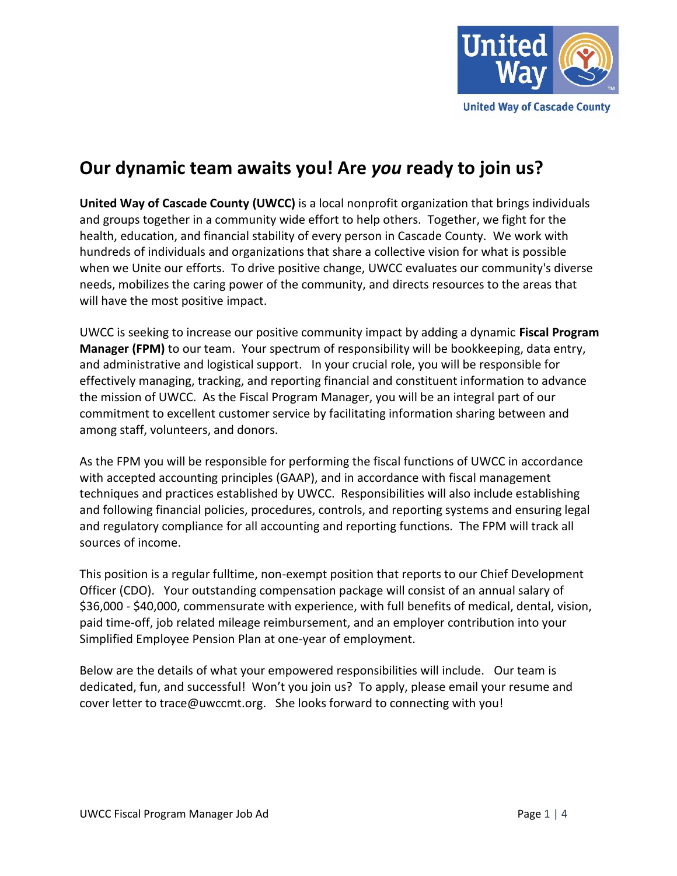

# **Our dynamic team awaits you! Are** *you* **ready to join us?**

**United Way of Cascade County (UWCC)** is a local nonprofit organization that brings individuals and groups together in a community wide effort to help others. Together, we fight for the health, education, and financial stability of every person in Cascade County. We work with hundreds of individuals and organizations that share a collective vision for what is possible when we Unite our efforts. To drive positive change, UWCC evaluates our community's diverse needs, mobilizes the caring power of the community, and directs resources to the areas that will have the most positive impact.

UWCC is seeking to increase our positive community impact by adding a dynamic **Fiscal Program Manager (FPM)** to our team. Your spectrum of responsibility will be bookkeeping, data entry, and administrative and logistical support. In your crucial role, you will be responsible for effectively managing, tracking, and reporting financial and constituent information to advance the mission of UWCC. As the Fiscal Program Manager, you will be an integral part of our commitment to excellent customer service by facilitating information sharing between and among staff, volunteers, and donors.

As the FPM you will be responsible for performing the fiscal functions of UWCC in accordance with accepted accounting principles (GAAP), and in accordance with fiscal management techniques and practices established by UWCC. Responsibilities will also include establishing and following financial policies, procedures, controls, and reporting systems and ensuring legal and regulatory compliance for all accounting and reporting functions. The FPM will track all sources of income.

This position is a regular fulltime, non-exempt position that reports to our Chief Development Officer (CDO). Your outstanding compensation package will consist of an annual salary of \$36,000 - \$40,000, commensurate with experience, with full benefits of medical, dental, vision, paid time-off, job related mileage reimbursement, and an employer contribution into your Simplified Employee Pension Plan at one-year of employment.

Below are the details of what your empowered responsibilities will include. Our team is dedicated, fun, and successful! Won't you join us? To apply, please email your resume and cover letter to trace@uwccmt.org. She looks forward to connecting with you!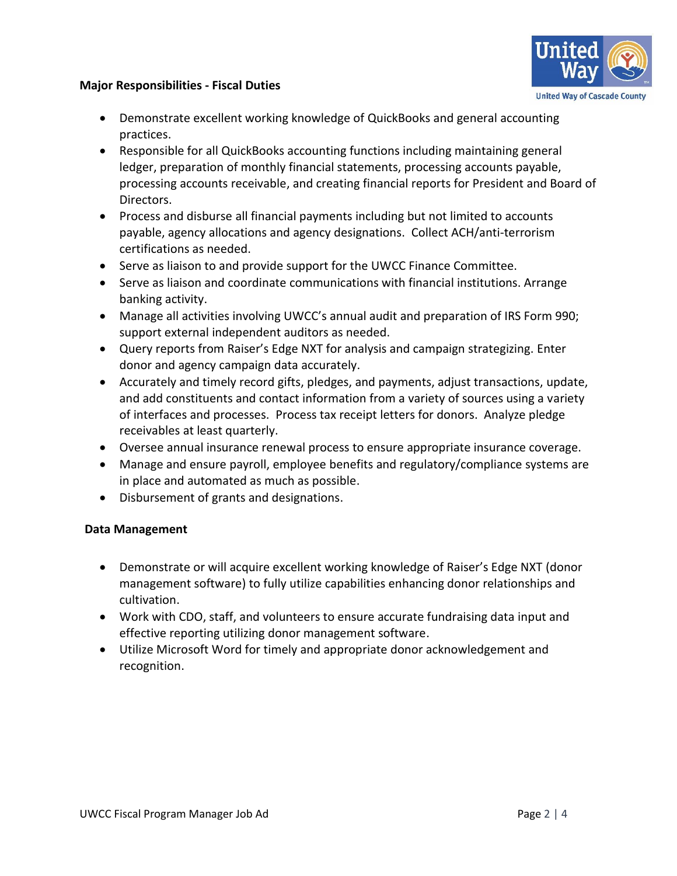### **Major Responsibilities - Fiscal Duties**



- Demonstrate excellent working knowledge of QuickBooks and general accounting practices.
- Responsible for all QuickBooks accounting functions including maintaining general ledger, preparation of monthly financial statements, processing accounts payable, processing accounts receivable, and creating financial reports for President and Board of Directors.
- Process and disburse all financial payments including but not limited to accounts payable, agency allocations and agency designations. Collect ACH/anti-terrorism certifications as needed.
- Serve as liaison to and provide support for the UWCC Finance Committee.
- Serve as liaison and coordinate communications with financial institutions. Arrange banking activity.
- Manage all activities involving UWCC's annual audit and preparation of IRS Form 990; support external independent auditors as needed.
- Query reports from Raiser's Edge NXT for analysis and campaign strategizing. Enter donor and agency campaign data accurately.
- Accurately and timely record gifts, pledges, and payments, adjust transactions, update, and add constituents and contact information from a variety of sources using a variety of interfaces and processes. Process tax receipt letters for donors. Analyze pledge receivables at least quarterly.
- Oversee annual insurance renewal process to ensure appropriate insurance coverage.
- Manage and ensure payroll, employee benefits and regulatory/compliance systems are in place and automated as much as possible.
- Disbursement of grants and designations.

#### **Data Management**

- Demonstrate or will acquire excellent working knowledge of Raiser's Edge NXT (donor management software) to fully utilize capabilities enhancing donor relationships and cultivation.
- Work with CDO, staff, and volunteers to ensure accurate fundraising data input and effective reporting utilizing donor management software.
- Utilize Microsoft Word for timely and appropriate donor acknowledgement and recognition.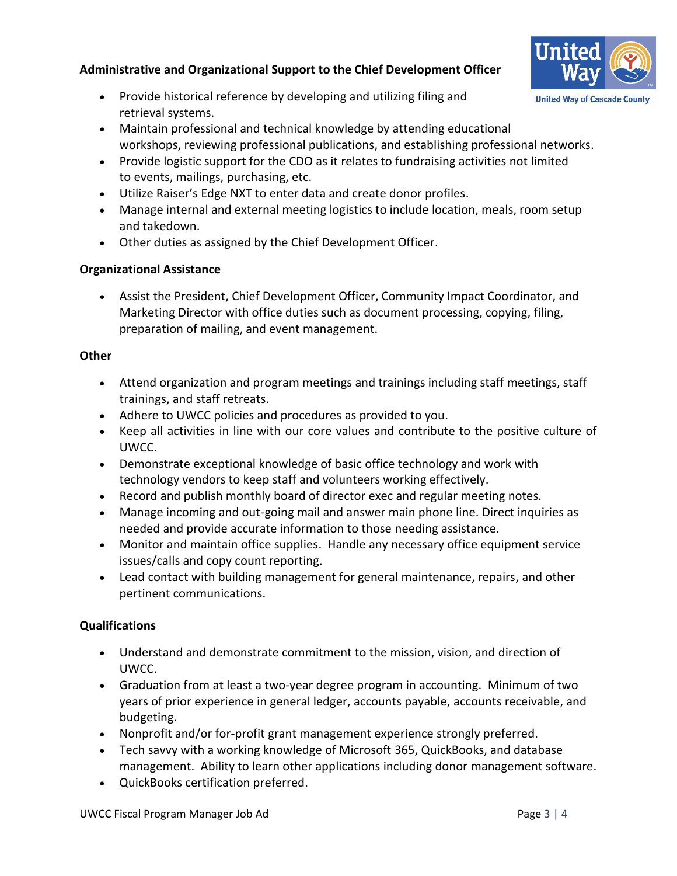# **Administrative and Organizational Support to the Chief Development Officer**

- Provide historical reference by developing and utilizing filing and retrieval systems.
- Maintain professional and technical knowledge by attending educational workshops, reviewing professional publications, and establishing professional networks.
- Provide logistic support for the CDO as it relates to fundraising activities not limited to events, mailings, purchasing, etc.
- Utilize Raiser's Edge NXT to enter data and create donor profiles.
- Manage internal and external meeting logistics to include location, meals, room setup and takedown.
- Other duties as assigned by the Chief Development Officer.

## **Organizational Assistance**

• Assist the President, Chief Development Officer, Community Impact Coordinator, and Marketing Director with office duties such as document processing, copying, filing, preparation of mailing, and event management.

### **Other**

- Attend organization and program meetings and trainings including staff meetings, staff trainings, and staff retreats.
- Adhere to UWCC policies and procedures as provided to you.
- Keep all activities in line with our core values and contribute to the positive culture of UWCC.
- Demonstrate exceptional knowledge of basic office technology and work with technology vendors to keep staff and volunteers working effectively.
- Record and publish monthly board of director exec and regular meeting notes.
- Manage incoming and out-going mail and answer main phone line. Direct inquiries as needed and provide accurate information to those needing assistance.
- Monitor and maintain office supplies. Handle any necessary office equipment service issues/calls and copy count reporting.
- Lead contact with building management for general maintenance, repairs, and other pertinent communications.

## **Qualifications**

- Understand and demonstrate commitment to the mission, vision, and direction of UWCC.
- Graduation from at least a two-year degree program in accounting. Minimum of two years of prior experience in general ledger, accounts payable, accounts receivable, and budgeting.
- Nonprofit and/or for-profit grant management experience strongly preferred.
- Tech savvy with a working knowledge of Microsoft 365, QuickBooks, and database management. Ability to learn other applications including donor management software.
- QuickBooks certification preferred.